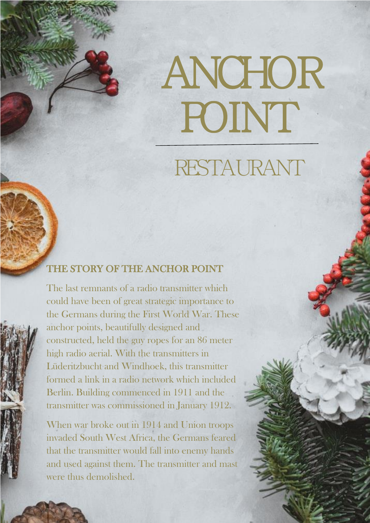ANCHOR POINT

# RESTAURANT

## $\frac{1}{\Gamma}$ Ī THE STORY OF THE ANCHOR POINT

Ī

ĵ

i

ĺ

l

ĺ

Ì

**Contract** 

ŗ

 $\overline{\phantom{a}}$  the Germans during the First World War. These anchor points, beautifully designed and constructed, held the guy ropes for an 86 meter high radio aerial. With the transmitters in formed a link in a radio network which included Berlin. Building commenced in 1911 and the transmitter was commissioned in January 1912. The last remnants of a radio transmitter which could have been of great strategic importance to Lüderitzbucht and Windhoek, this transmitter

 When war broke out in 1914 and Union troops invaded South West Africa, the Germans feared that the transmitter would fall into enemy hands and used against them. The transmitter and mast were thus demolished.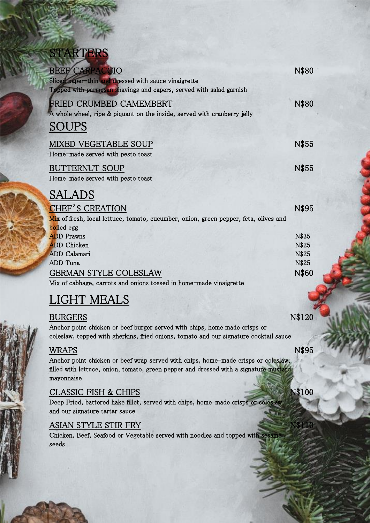# **STARTERS**

| <b>BEEF CARPACCIO</b>                                                                | N\$80 |
|--------------------------------------------------------------------------------------|-------|
| Sliced paper-thin and dressed with sauce vinaigrette                                 |       |
| Topped with parmesan shavings and capers, served with salad garnish                  |       |
| <b>FRIED CRUMBED CAMEMBERT</b>                                                       | N\$80 |
| A whole wheel, ripe & piquant on the inside, served with cranberry jelly             |       |
| <b>SOUPS</b>                                                                         |       |
| <b>MIXED VEGETABLE SOUP</b>                                                          | N\$55 |
| Home-made served with pesto toast                                                    |       |
| <b>BUTTERNUT SOUP</b>                                                                | N\$55 |
| Home-made served with pesto toast                                                    |       |
| <b>SALADS</b>                                                                        |       |
| <b>CHEF'S CREATION</b>                                                               | N\$95 |
| Mix of fresh, local lettuce, tomato, cucumber, onion, green pepper, feta, olives and |       |
| boiled egg                                                                           |       |
| <b>ADD</b> Prawns                                                                    | N\$35 |
| <b>ADD</b> Chicken                                                                   | N\$25 |
| <b>ADD</b> Calamari                                                                  | N\$25 |
| ADD Tuna                                                                             | N\$25 |
| <b>GERMAN STYLE COLESLAW</b>                                                         | N\$60 |
| Mix of cabbage, carrots and onions tossed in home-made vinaigrette                   |       |

# LIGHT MEALS

| BURGERS                                                                               | N\$120 |
|---------------------------------------------------------------------------------------|--------|
| Anchor point chicken or beef burger served with chips, home made crisps or            |        |
| coleslaw, topped with gherkins, fried onions, tomato and our signature cocktail sauce |        |

# WRAPS N\$95

Anchor point chicken or beef wrap served with chips, home-made crisps or coleslaw, filled with lettuce, onion, tomato, green pepper and dressed with a signature mustard mayonnaise

# CLASSIC FISH & CHIPS N\$100

Deep Fried, battered hake fillet, served with chips, home-made crisps or coleslaw and our signature tartar sauce

### ASIAN STYLE STIR FRY

Chicken, Beef, Seafood or Vegetable served with noodles and topped with sesame seeds and the contract of the contract of the contract of the contract of the contract of the contract of the contract of the contract of the contract of the contract of the contract of the contract of the contract of the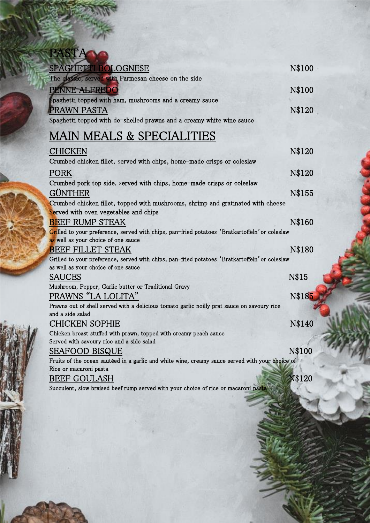| SPAGHETTI BOLOGNESE                                                                                                                   | N\$100 |
|---------------------------------------------------------------------------------------------------------------------------------------|--------|
| The classic, served with Parmesan cheese on the side                                                                                  |        |
| PENNE ALFREDO                                                                                                                         | N\$100 |
| Spaghetti topped with ham, mushrooms and a creamy sauce                                                                               |        |
| PRAWN PASTA                                                                                                                           | N\$120 |
| Spaghetti topped with de-shelled prawns and a creamy white wine sauce                                                                 |        |
| <b>MAIN MEALS &amp; SPECIALITIES</b>                                                                                                  |        |
| <b>CHICKEN</b>                                                                                                                        | N\$120 |
| Crumbed chicken fillet, served with chips, home-made crisps or coleslaw                                                               |        |
| <b>PORK</b>                                                                                                                           | N\$120 |
| Crumbed pork top side, served with chips, home-made crisps or coleslaw                                                                |        |
| GÜNTHER                                                                                                                               | N\$155 |
| Crumbed chicken fillet, topped with mushrooms, shrimp and gratinated with cheese                                                      |        |
| Served with oven vegetables and chips                                                                                                 |        |
| <b>BEEF RUMP STEAK</b>                                                                                                                | N\$160 |
| Grilled to your preference, served with chips, pan-fried potatoes 'Bratkartoffeln' or coleslaw<br>as well as your choice of one sauce |        |
| <b>BEEF FILLET STEAK</b>                                                                                                              | N\$180 |
| Grilled to your preference, served with chips, pan-fried potatoes 'Bratkartoffeln' or coleslaw<br>as well as your choice of one sauce |        |
| <b>SAUCES</b>                                                                                                                         | N\$15  |
| Mushroom, Pepper, Garlic butter or Traditional Gravy                                                                                  |        |
| PRAWNS "LA LOLITA"                                                                                                                    | N\$185 |

Prawns out of shell served with a delicious tomato garlic noilly prat sauce on savoury rice and a side salad

CHICKEN SOPHIE N\$140

Chicken breast stuffed with prawn, topped with creamy peach sauce Served with savoury rice and a side salad

# SEAFOOD BISQUE N\$100

Fruits of the ocean sautéed in a garlic and white wine, creamy sauce served with your choice of Rice or macaroni pasta

### BEEF GOULASH N\$120

Succulent, slow braised beef rump served with your choice of rice or macaroni pasta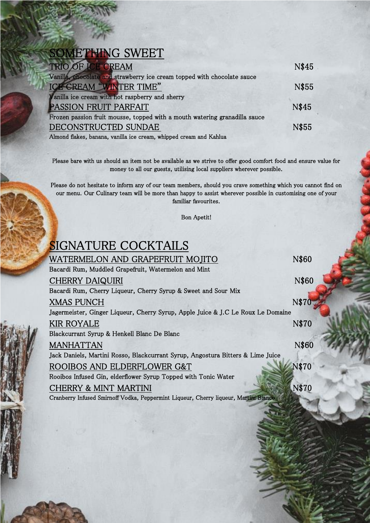# SOMETHING SWEET

| TRIO OF ICE CREAM                                                                                                                                                                                                                                                                                | N\$45 |
|--------------------------------------------------------------------------------------------------------------------------------------------------------------------------------------------------------------------------------------------------------------------------------------------------|-------|
| Vanilla, chocolate and strawberry ice cream topped with chocolate sauce                                                                                                                                                                                                                          |       |
| ICE CREAM "WINTER TIME"                                                                                                                                                                                                                                                                          | N\$55 |
| Vanilla ice cream with hot raspberry and sherry                                                                                                                                                                                                                                                  |       |
| <b>PASSION FRUIT PARFAIT</b>                                                                                                                                                                                                                                                                     | N\$45 |
| Frozen passion fruit mousse, topped with a mouth watering granadilla sauce                                                                                                                                                                                                                       |       |
| DECONSTRUCTED SUNDAE                                                                                                                                                                                                                                                                             | N\$55 |
| $\mathbf{A}$ and $\mathbf{A}$ and $\mathbf{A}$ and $\mathbf{A}$ and $\mathbf{A}$ and $\mathbf{A}$ and $\mathbf{A}$ and $\mathbf{A}$ and $\mathbf{A}$ and $\mathbf{A}$ and $\mathbf{A}$ and $\mathbf{A}$ and $\mathbf{A}$ and $\mathbf{A}$ and $\mathbf{A}$ and $\mathbf{A}$ and $\mathbf{A}$ and |       |

Almond flakes, banana, vanilla ice cream, whipped cream and Kahlua

Please bare with us should an item not be available as we strive to offer good comfort food and ensure value for money to all our guests, utilising local suppliers wherever possible.

Please do not hesitate to inform any of our team members, should you crave something which you cannot find on our menu. Our Culinary team will be more than happy to assist wherever possible in customising one of your familiar favourites.

Bon Apetit!

# SIGNATURE COCKTAILS

**RANKIN** 

WATERMELON AND GRAPEFRUIT MOJITO N\$60 Bacardi Rum, Muddled Grapefruit, Watermelon and Mint CHERRY DAIQUIRI N\$60 Bacardi Rum, Cherry Liqueur, Cherry Syrup & Sweet and Sour Mix XMAS PUNCH N\$70 Jagermeister, Ginger Liqueur, Cherry Syrup, Apple Juice & J.C Le Roux Le Domaine KIR ROYALE NS70 Blackcurrant Syrup & Henkell Blanc De Blanc MANHATTAN N\$60 Jack Daniels, Martini Rosso, Blackcurrant Syrup, Angostura Bitters & Lime Juice ROOIBOS AND ELDERFLOWER G&T Rooibos Infused Gin, elderflower Syrup Topped with Tonic Water CHERRY & MINT MARTINI NEWSFILM N\$70 Cranberry Infused Smirnoff Vodka, Peppermint Liqueur, Cherry liqueur, Martini Bianco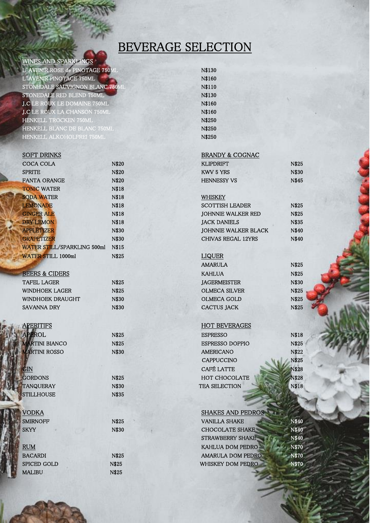# BEVERAGE SELECTION

#### WINES AND SPARKLINGS

L'AVENIR ROSE de PINOTAGE 750ML N\$130 L'AVENIR PINOTAGE 750ML NEWSLET AND NEWSLET AND NEWSLET AND NEWSLET AND ALL AND NEWSLET AND NEWSLET AND NEWSLET AND ALL AND NEWSLET AND ALL AND NEWSLET AND ALL AND NEWSLET AND ALL AND ALL AND ALL AND ALL AND ALL AND ALL AN STONEDALE SAUVIGNON BLANC 750ML N\$110 STONEDALE RED BLEND 750ML N\$130 **J.C** LE ROUX LE DOMAINE 750ML N\$160 **J.C** LE ROUX LA CHANSON 750ML N\$160 HENKELL TROCKEN 750ML NS250 HENKELL BLANC DE BLANC 750ML NS250 HENKELL ALKOHOLFREI 750ML NS250

| SUF I DRINKS                |              | BRANDY & COGNAC             |       |
|-----------------------------|--------------|-----------------------------|-------|
| <b>COCA COLA</b>            | <b>N\$20</b> | <b>KLIPDRIFT</b>            | N\$25 |
| <b>SPRITE</b>               | <b>N\$20</b> | <b>KWV 5 YRS</b>            | N\$30 |
| <b>FANTA ORANGE</b>         | N\$20        | <b>HENNESSY VS</b>          | N\$45 |
| <b>TONIC WATER</b>          | N\$18        |                             |       |
| <b>SODA WATER</b>           | N\$18        | WHISKEY                     |       |
| <b>LEMONADE</b>             | N\$18        | <b>SCOTTISH LEADER</b>      | N\$25 |
| <b>GINGER ALE</b>           | <b>N\$18</b> | <b>JOHNNIE WALKER RED</b>   | N\$25 |
| <b>DRY LEMON</b>            | <b>N\$18</b> | <b>JACK DANIELS</b>         | N\$35 |
| <b>APPLETIZER</b>           | N\$30        | <b>JOHNNIE WALKER BLACK</b> | N\$40 |
| <b>GRAPETIZER</b>           | N\$30        | CHIVAS REGAL 12YRS          | N\$40 |
| WATER STILL/SPARKLING 500ml | N\$15        |                             |       |
| <b>WATER STILL 1000ml</b>   | N\$25        | LIQUER                      |       |

TANQUERAY N\$30 STILLHOUSE N\$35

SPICED GOLD N\$25 MALIBU N\$25

BRANDY & COGNAC

| KLIPDRIFT   | N\$: |
|-------------|------|
| KWV 5 YRS   | N\$  |
| HENNESSY VS | N\$  |

#### WHISKEY

| <b>SCOTTISH LEADER</b>      | N\$. |
|-----------------------------|------|
| <b>JOHNNIE WALKER RED</b>   | N\$. |
| <b>JACK DANIELS</b>         | N\$  |
| <b>JOHNNIE WALKER BLACK</b> | $N\$ |
| <b>CHIVAS REGAL 12YRS</b>   | N\$  |

|                  |       | AMARULA              | N\$25 |
|------------------|-------|----------------------|-------|
| BEERS & CIDERS   |       | KAHLUA               | N\$25 |
| TAFEL LAGER      | N\$25 | <b>IAGERMEISTER</b>  | N\$30 |
| WINDHOEK LAGER   | N\$25 | <b>OLMECA SILVER</b> | N\$25 |
| WINDHOEK DRAUGHT | N\$30 | OLMECA GOLD          | N\$25 |
| SAVANNA DRY      | N\$30 | CACTUS JACK          | N\$25 |

#### APERITIFS HOT BEVERAGES

| APEROL                | N\$25 | <b>ESPRESSO</b>        | N\$18        |
|-----------------------|-------|------------------------|--------------|
| <b>MARTINI BIANCO</b> | N\$25 | <b>ESPRESSO DOPPIO</b> | N\$25        |
| <b>MARTINI ROSSO</b>  | N\$30 | <b>AMERICANO</b>       | N\$22        |
|                       |       | <b>CAPPUCCINO</b>      | N\$25        |
| GIN                   |       | <b>CAFÉ LATTE</b>      | <b>N\$28</b> |
| <b>GORDONS</b>        | N\$25 | <b>HOT CHOCOLATE</b>   | <b>N\$28</b> |
| TANQUERAY             | N\$30 | TEA SELECTION          | <b>N\$18</b> |

| <b>SHAKES AND PEDROS</b>                 |
|------------------------------------------|
| <b>VANILLA SHAKE</b><br>N\$40            |
| N\$40<br><b>CHOCOLATE SHAKE</b>          |
| <b>STRAWBERRY SHAKE</b><br>N\$40         |
| <b>N\$70</b><br><b>KAHLUA DOM PEDRO</b>  |
| <b>N\$70</b><br><b>AMARULA DOM PEDRO</b> |
| N\$70<br>WHISKEY DOM PEDRO               |
|                                          |